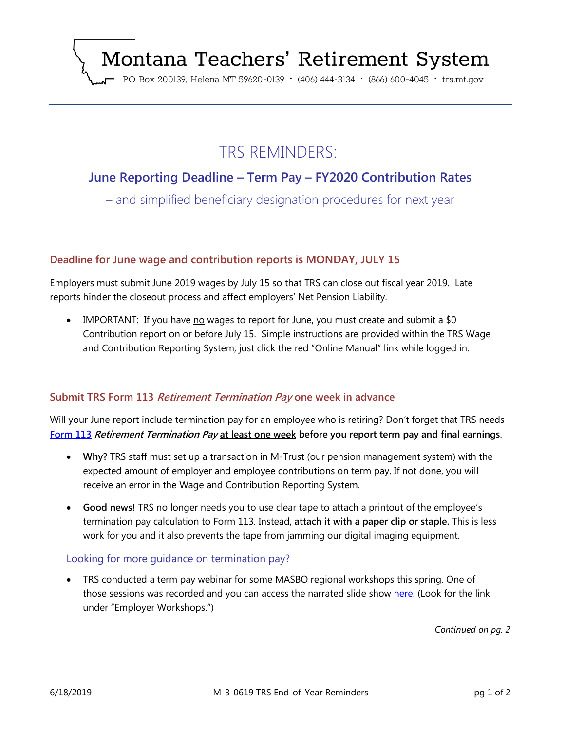# Montana Teachers' Retirement System

PO Box 200139, Helena MT 59620-0139 · (406) 444-3134 · (866) 600-4045 · trs.mt.gov

## TRS REMINDERS:

### **June Reporting Deadline – Term Pay – FY2020 Contribution Rates**

– and simplified beneficiary designation procedures for next year

#### **Deadline for June wage and contribution reports is MONDAY, JULY 15**

Employers must submit June 2019 wages by July 15 so that TRS can close out fiscal year 2019. Late reports hinder the closeout process and affect employers' Net Pension Liability.

IMPORTANT: If you have no wages to report for June, you must create and submit a  $$0$ Contribution report on or before July 15. Simple instructions are provided within the TRS Wage and Contribution Reporting System; just click the red "Online Manual" link while logged in.

#### **Submit TRS Form 113 Retirement Termination Pay one week in advance**

Will your June report include termination pay for an employee who is retiring? Don't forget that TRS needs **[Form 113](https://trs.mt.gov/miscellaneous/PdfFiles/Forms/F-1-113-0317.pdf) Retirement Termination Pay at least one week before you report term pay and final earnings**.

- **Why?** TRS staff must set up a transaction in M-Trust (our pension management system) with the expected amount of employer and employee contributions on term pay. If not done, you will receive an error in the Wage and Contribution Reporting System.
- **Good news!** TRS no longer needs you to use clear tape to attach a printout of the employee's termination pay calculation to Form 113. Instead, **attach it with a paper clip or staple.** This is less work for you and it also prevents the tape from jamming our digital imaging equipment.

#### Looking for more guidance on termination pay?

• TRS conducted a term pay webinar for some MASBO regional workshops this spring. One of those sessions was recorded and you can access the narrated slide show [here.](https://trs.mt.gov/TrsInfo/Workshops) (Look for the link under "Employer Workshops.")

*Continued on pg. 2*